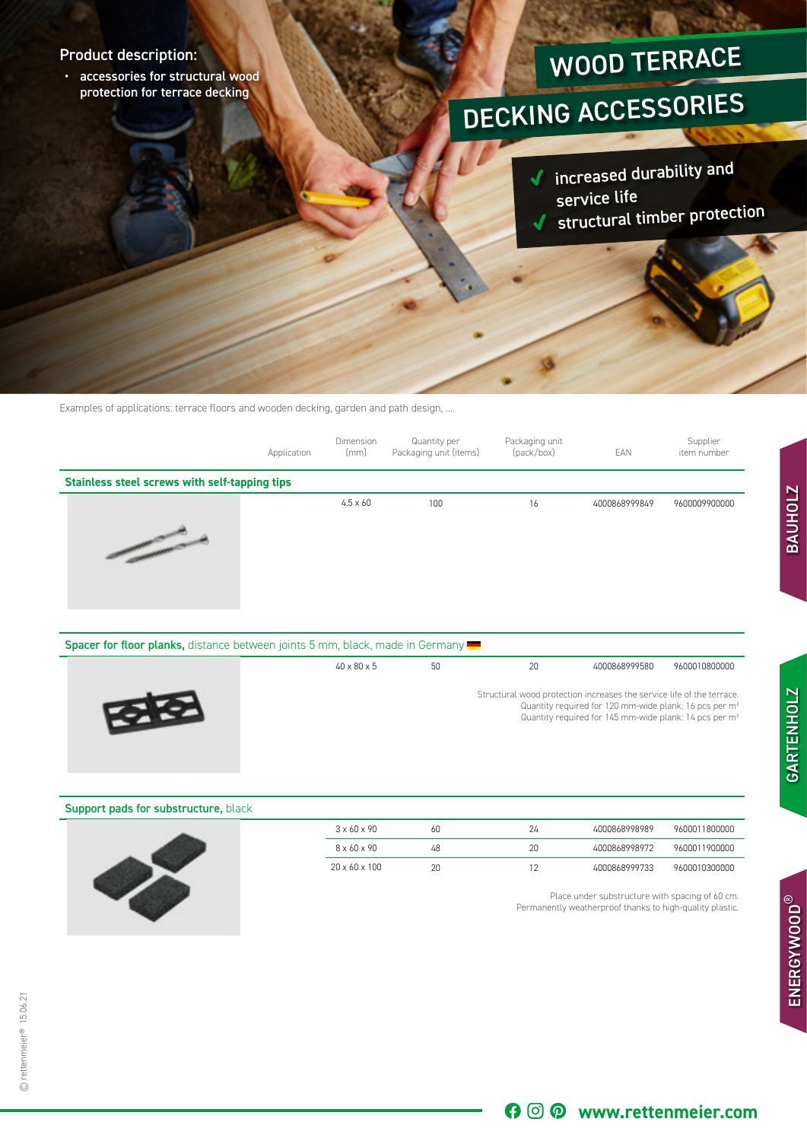## Product description:

• accessories for structural wood protection for terrace decking

## WOOD TERRACE

## DECKING ACCESSORIES

increased durability an<sup>d</sup>  $\checkmark$ service life structural timber protection

Examples of applications: terrace floors and wooden decking, garden and path design, ...

|                                               | Application | Dimension<br>(mm) | Quantity per<br>Packaging unit (items) | Packaging unit<br>(pack/box) | EAN           | Supplier<br>item number |
|-----------------------------------------------|-------------|-------------------|----------------------------------------|------------------------------|---------------|-------------------------|
| Stainless steel screws with self-tapping tips |             |                   |                                        |                              |               |                         |
| <b>Contractor</b>                             |             | $4.5 \times 60$   | 100                                    | 16                           | 4000868999849 | 9600009900000           |

| Spacer for floor planks, distance between joints 5 mm, black, made in Germany |                         |    |    |                                                                                                                                                                                                                   |               |
|-------------------------------------------------------------------------------|-------------------------|----|----|-------------------------------------------------------------------------------------------------------------------------------------------------------------------------------------------------------------------|---------------|
|                                                                               | $40 \times 80 \times 5$ | 50 | 20 | 4000868999580                                                                                                                                                                                                     | 9600010800000 |
| <b>REAL PROPERTY</b>                                                          |                         |    |    | Structural wood protection increases the service life of the terrace.<br>Quantity required for 120 mm-wide plank: 16 pcs per m <sup>2</sup><br>Quantity required for 145 mm-wide plank: 14 pcs per m <sup>2</sup> |               |

| <b>Support pads for substructure, black</b> |                           |    |    |                                                 |               |
|---------------------------------------------|---------------------------|----|----|-------------------------------------------------|---------------|
|                                             | $3 \times 60 \times 90$   | 60 | 24 | 4000868998989                                   | 9600011800000 |
|                                             | $8 \times 60 \times 90$   | 48 | 20 | 4000868998972                                   | 9600011900000 |
|                                             | $20 \times 60 \times 100$ | 20 |    | 4000868999733                                   | 9600010300000 |
|                                             |                           |    |    | Place under substructure with spacing of 60 cm. |               |

Permanently weatherproof thanks to high-quality plastic.

70

**www.rettenmeier.com**